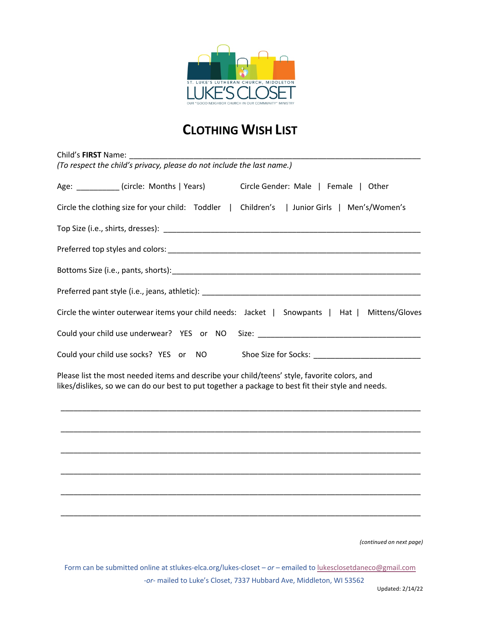

# **CLOTHING WISH LIST**

| Child's FIRST Name:                                                                                                                                                                                |                          |
|----------------------------------------------------------------------------------------------------------------------------------------------------------------------------------------------------|--------------------------|
| (To respect the child's privacy, please do not include the last name.)                                                                                                                             |                          |
| Age: ___________(circle: Months   Years)<br>Circle Gender: Male   Female   Other                                                                                                                   |                          |
| Circle the clothing size for your child: Toddler   Children's   Junior Girls   Men's/Women's                                                                                                       |                          |
|                                                                                                                                                                                                    |                          |
|                                                                                                                                                                                                    |                          |
|                                                                                                                                                                                                    |                          |
|                                                                                                                                                                                                    |                          |
| Circle the winter outerwear items your child needs: Jacket   Snowpants   Hat                                                                                                                       | Mittens/Gloves           |
| Could your child use underwear? YES or NO                                                                                                                                                          |                          |
| Could your child use socks? YES or NO<br>Shoe Size for Socks: New York Shoe Size for Socks:                                                                                                        |                          |
| Please list the most needed items and describe your child/teens' style, favorite colors, and<br>likes/dislikes, so we can do our best to put together a package to best fit their style and needs. |                          |
|                                                                                                                                                                                                    |                          |
|                                                                                                                                                                                                    |                          |
|                                                                                                                                                                                                    |                          |
|                                                                                                                                                                                                    |                          |
|                                                                                                                                                                                                    |                          |
|                                                                                                                                                                                                    |                          |
|                                                                                                                                                                                                    | (continued on next page) |

Form can be submitted online at stlukes-elca.org/lukes-closet *– or –* emailed to lukesclosetdaneco@gmail.com *-or-* mailed to Luke's Closet, 7337 Hubbard Ave, Middleton, WI 53562